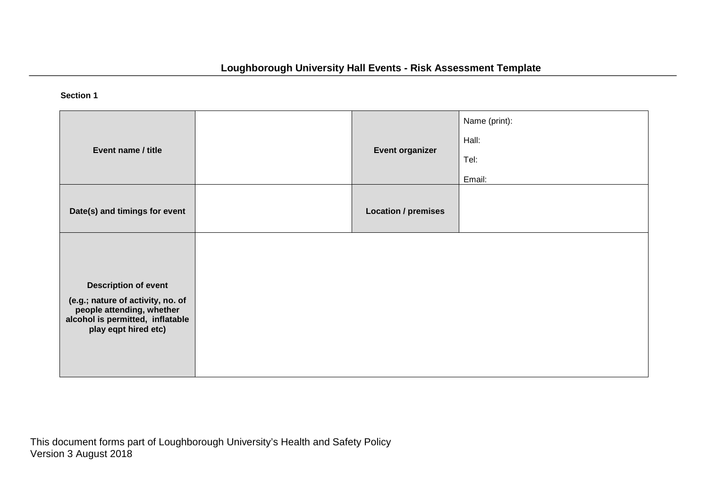## **Section 1**

|                                                                |                            | Name (print): |
|----------------------------------------------------------------|----------------------------|---------------|
| Event name / title                                             | <b>Event organizer</b>     | Hall:         |
|                                                                |                            | Tel:          |
|                                                                |                            | Email:        |
| Date(s) and timings for event                                  | <b>Location / premises</b> |               |
|                                                                |                            |               |
|                                                                |                            |               |
| <b>Description of event</b>                                    |                            |               |
| (e.g.; nature of activity, no. of<br>people attending, whether |                            |               |
| alcohol is permitted, inflatable<br>play eqpt hired etc)       |                            |               |
|                                                                |                            |               |
|                                                                |                            |               |

This document forms part of Loughborough University's Health and Safety Policy Version 3 August 2018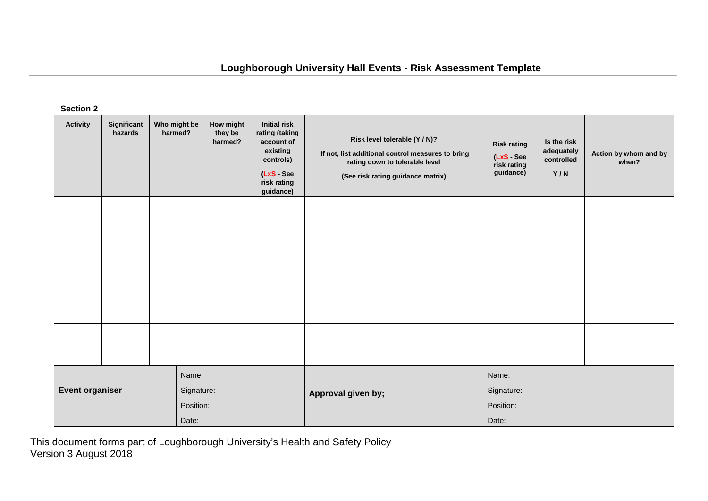## **Loughborough University Hall Events - Risk Assessment Template**

**Section 2**

| <b>Activity</b>                                                     | Significant<br>hazards | Who might be<br>harmed? | How might<br>they be<br>harmed?           | <b>Initial risk</b><br>rating (taking<br>account of<br>existing<br>controls)<br>(LxS - See<br>risk rating<br>guidance) | Risk level tolerable (Y / N)?<br>If not, list additional control measures to bring<br>rating down to tolerable level<br>(See risk rating guidance matrix) | <b>Risk rating</b><br>(LxS - See<br>risk rating<br>guidance) | Is the risk<br>adequately<br>controlled<br>Y/N | Action by whom and by<br>when? |
|---------------------------------------------------------------------|------------------------|-------------------------|-------------------------------------------|------------------------------------------------------------------------------------------------------------------------|-----------------------------------------------------------------------------------------------------------------------------------------------------------|--------------------------------------------------------------|------------------------------------------------|--------------------------------|
|                                                                     |                        |                         |                                           |                                                                                                                        |                                                                                                                                                           |                                                              |                                                |                                |
|                                                                     |                        |                         |                                           |                                                                                                                        |                                                                                                                                                           |                                                              |                                                |                                |
|                                                                     |                        |                         |                                           |                                                                                                                        |                                                                                                                                                           |                                                              |                                                |                                |
|                                                                     |                        |                         |                                           |                                                                                                                        |                                                                                                                                                           |                                                              |                                                |                                |
| Name:<br><b>Event organiser</b><br>Signature:<br>Position:<br>Date: |                        | Approval given by;      | Name:<br>Signature:<br>Position:<br>Date: |                                                                                                                        |                                                                                                                                                           |                                                              |                                                |                                |

This document forms part of Loughborough University's Health and Safety Policy Version 3 August 2018